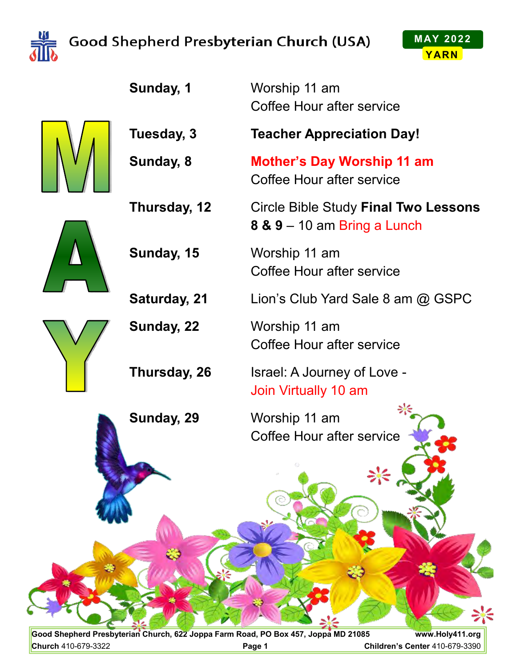

## Good Shepherd Presbyterian Church (USA)



**Sunday, 1** Worship 11 am Coffee Hour after service **Tuesday, 3 Teacher Appreciation Day! Sunday, 8 Mother's Day Worship 11 am** Coffee Hour after service **Thursday, 12** Circle Bible Study **Final Two Lessons 8 & 9** – 10 am Bring a Lunch **Sunday, 15** Worship 11 am Coffee Hour after service **Saturday, 21** Lion's Club Yard Sale 8 am @ GSPC **Sunday, 22** Worship 11 am Coffee Hour after service **Thursday, 26** Israel: A Journey of Love - Join Virtually 10 am **Sunday, 29** Worship 11 am Coffee Hour after service

**Good Shepherd Presbyterian Church, 622 Joppa Farm Road, PO Box 457, Joppa MD 21085 www.Holy411.org Church** 410-679-3322 **Page 1 Children's Center** 410-679-3390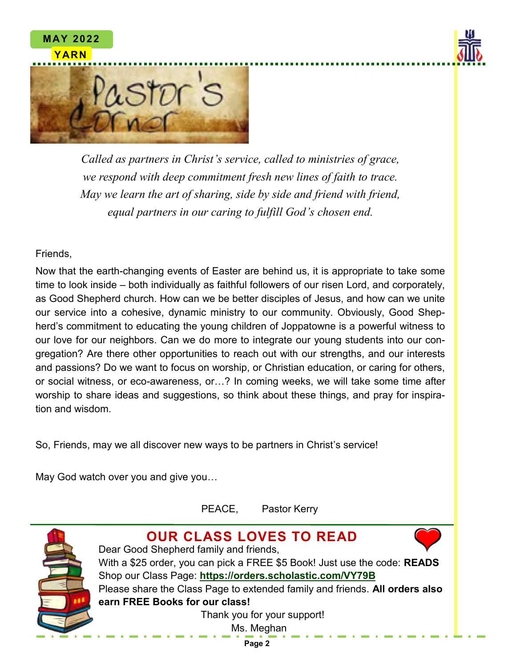



*Called as partners in Christ's service, called to ministries of grace, we respond with deep commitment fresh new lines of faith to trace. May we learn the art of sharing, side by side and friend with friend, equal partners in our caring to fulfill God's chosen end.*

Friends,

**MAY 2022**

Now that the earth-changing events of Easter are behind us, it is appropriate to take some time to look inside – both individually as faithful followers of our risen Lord, and corporately, as Good Shepherd church. How can we be better disciples of Jesus, and how can we unite our service into a cohesive, dynamic ministry to our community. Obviously, Good Shepherd's commitment to educating the young children of Joppatowne is a powerful witness to our love for our neighbors. Can we do more to integrate our young students into our congregation? Are there other opportunities to reach out with our strengths, and our interests and passions? Do we want to focus on worship, or Christian education, or caring for others, or social witness, or eco-awareness, or…? In coming weeks, we will take some time after worship to share ideas and suggestions, so think about these things, and pray for inspiration and wisdom.

So, Friends, may we all discover new ways to be partners in Christ's service!

May God watch over you and give you…

PEACE, Pastor Kerry

**OUR CLASS LOVES TO READ**



Dear Good Shepherd family and friends, With a \$25 order, you can pick a FREE \$5 Book! Just use the code: **READS** Shop our Class Page: **https://orders.scholastic.com/VY79B** Please share the Class Page to extended family and friends. **All orders also earn FREE Books for our class!** Thank you for your support!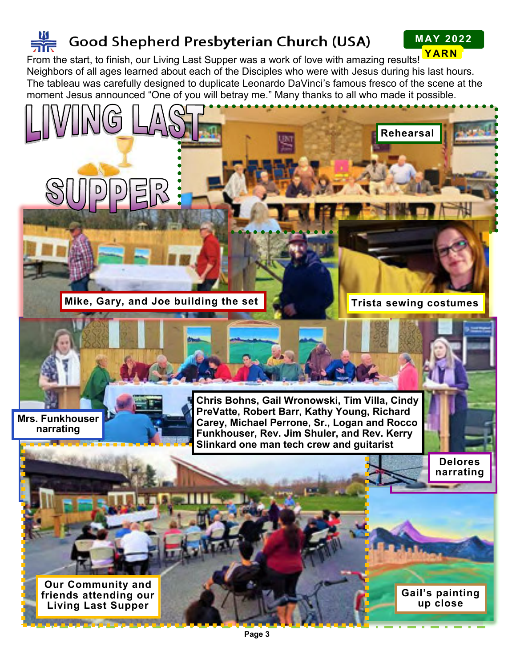# Good Shepherd Presbyterian Church (USA)

**MAY 2022**

**YARN YARN** From the start, to finish, our Living Last Supper was a work of love with amazing results! Neighbors of all ages learned about each of the Disciples who were with Jesus during his last hours. The tableau was carefully designed to duplicate Leonardo DaVinci's famous fresco of the scene at the moment Jesus announced "One of you will betray me." Many thanks to all who made it possible.

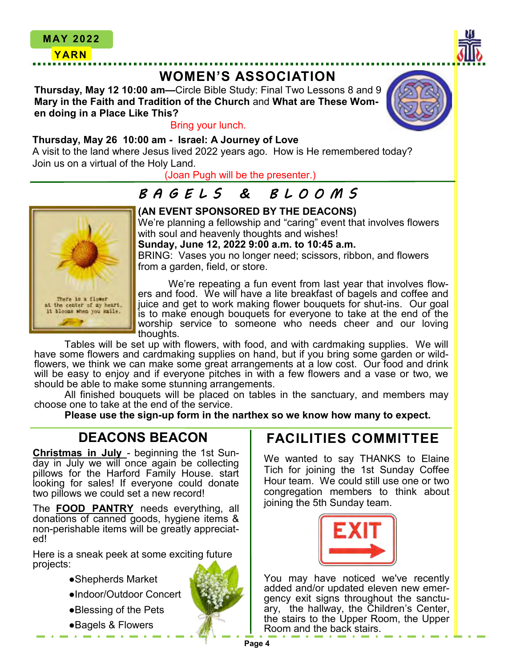

**Thursday, May 12 10:00 am—**Circle Bible Study: Final Two Lessons 8 and 9 **Mary in the Faith and Tradition of the Church** and **What are These Women doing in a Place Like This?**



#### Bring your lunch.

#### **Thursday, May 26 10:00 am - Israel: A Journey of Love**

A visit to the land where Jesus lived 2022 years ago. How is He remembered today? Join us on a virtual of the Holy Land.

(Joan Pugh will be the presenter.)

## *B A G E L S & B L O O M S*



#### **(AN EVENT SPONSORED BY THE DEACONS)**

We're planning a fellowship and "caring" event that involves flowers with soul and heavenly thoughts and wishes!

**Sunday, June 12, 2022 9:00 a.m. to 10:45 a.m.**

BRING: Vases you no longer need; scissors, ribbon, and flowers from a garden, field, or store.

We're repeating a fun event from last year that involves flowers and food. We will have a lite breakfast of bagels and coffee and juice and get to work making flower bouquets for shut-ins. Our goal is to make enough bouquets for everyone to take at the end of the worship service to someone who needs cheer and our loving thoughts.

Tables will be set up with flowers, with food, and with cardmaking supplies. We will have some flowers and cardmaking supplies on hand, but if you bring some garden or wildflowers, we think we can make some great arrangements at a low cost. Our food and drink will be easy to enjoy and if everyone pitches in with a few flowers and a vase or two, we should be able to make some stunning arrangements.

All finished bouquets will be placed on tables in the sanctuary, and members may choose one to take at the end of the service.

**Please use the sign-up form in the narthex so we know how many to expect.** 

### **DEACONS BEACON**

**Christmas in July** - beginning the 1st Sunday in July we will once again be collecting pillows for the Harford Family House. start looking for sales! If everyone could donate two pillows we could set a new record!

The **FOOD PANTRY** needs everything, all donations of canned goods, hygiene items & non-perishable items will be greatly appreciated!

Here is a sneak peek at some exciting future projects:

- ●Shepherds Market
- ●Indoor/Outdoor Concert
- ●Blessing of the Pets
- ●Bagels & Flowers

### **FACILITIES COMMITTEE**

We wanted to say THANKS to Elaine Tich for joining the 1st Sunday Coffee Hour team. We could still use one or two congregation members to think about joining the 5th Sunday team.



You may have noticed we've recently added and/or updated eleven new emergency exit signs throughout the sanctuary, the hallway, the Children's Center, the stairs to the Upper Room, the Upper Room and the back stairs.

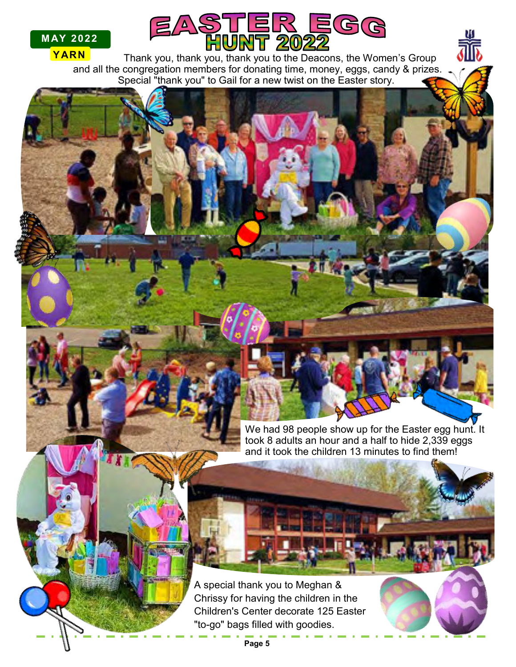



**YARN** Thank you, thank you, thank you to the Deacons, the Women's Group and all the congregation members for donating time, money, eggs, candy & prizes. Special "thank you" to Gail for a new twist on the Easter story.

> We had 98 people show up for the Easter egg hunt. It took 8 adults an hour and a half to hide 2,339 eggs and it took the children 13 minutes to find them!

A special thank you to Meghan & Chrissy for having the children in the Children's Center decorate 125 Easter "to-go" bags filled with goodies.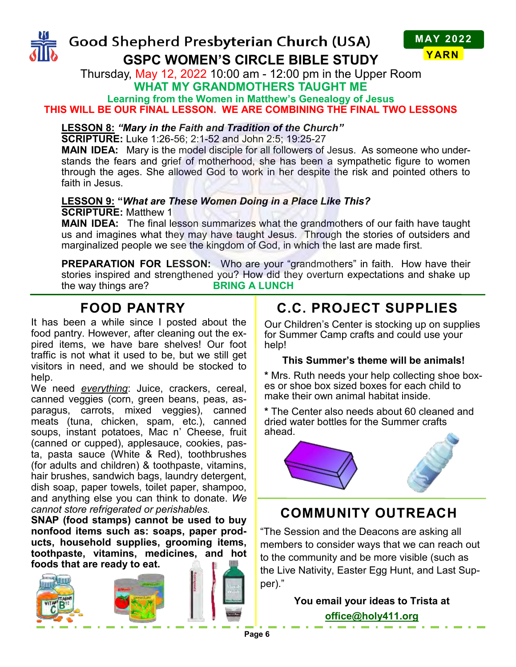



Thursday, May 12, 2022 10:00 am - 12:00 pm in the Upper Room **WHAT MY GRANDMOTHERS TAUGHT ME**

**Learning from the Women in Matthew's Genealogy of Jesus THIS WILL BE OUR FINAL LESSON. WE ARE COMBINING THE FINAL TWO LESSONS**

#### **LESSON 8:** *"Mary in the Faith and Tradition of the Church"*

**SCRIPTURE:** Luke 1:26-56; 2:1-52 and John 2:5; 19:25-27

**MAIN IDEA:** Mary is the model disciple for all followers of Jesus. As someone who understands the fears and grief of motherhood, she has been a sympathetic figure to women through the ages. She allowed God to work in her despite the risk and pointed others to faith in Jesus.

#### **LESSON 9: "***What are These Women Doing in a Place Like This?* **SCRIPTURE:** Matthew 1

**MAIN IDEA:** The final lesson summarizes what the grandmothers of our faith have taught us and imagines what they may have taught Jesus. Through the stories of outsiders and marginalized people we see the kingdom of God, in which the last are made first.

**PREPARATION FOR LESSON:** Who are your "grandmothers" in faith. How have their stories inspired and strengthened you? How did they overturn expectations and shake up<br>the way things are?<br>**BRING A LUNCH** the way things are?

### **FOOD PANTRY**

It has been a while since I posted about the food pantry. However, after cleaning out the expired items, we have bare shelves! Our foot traffic is not what it used to be, but we still get visitors in need, and we should be stocked to help.

We need *everything*: Juice, crackers, cereal, canned veggies (corn, green beans, peas, asparagus, carrots, mixed veggies), canned meats (tuna, chicken, spam, etc.), canned soups, instant potatoes, Mac n' Cheese, fruit (canned or cupped), applesauce, cookies, pasta, pasta sauce (White & Red), toothbrushes (for adults and children) & toothpaste, vitamins, hair brushes, sandwich bags, laundry detergent, dish soap, paper towels, toilet paper, shampoo, and anything else you can think to donate. *We cannot store refrigerated or perishables.*

**SNAP (food stamps) cannot be used to buy nonfood items such as: soaps, paper products, household supplies, grooming items, toothpaste, vitamins, medicines, and hot foods that are ready to eat.**



## **C.C. PROJECT SUPPLIES**

Our Children's Center is stocking up on supplies for Summer Camp crafts and could use your help!

#### **This Summer's theme will be animals!**

**\*** Mrs. Ruth needs your help collecting shoe boxes or shoe box sized boxes for each child to make their own animal habitat inside.

**\*** The Center also needs about 60 cleaned and dried water bottles for the Summer crafts ahead.



### **COMMUNITY OUTREACH**

"The Session and the Deacons are asking all members to consider ways that we can reach out to the community and be more visible (such as the Live Nativity, Easter Egg Hunt, and Last Supper)."

### **You email your ideas to Trista at office@holy411.org**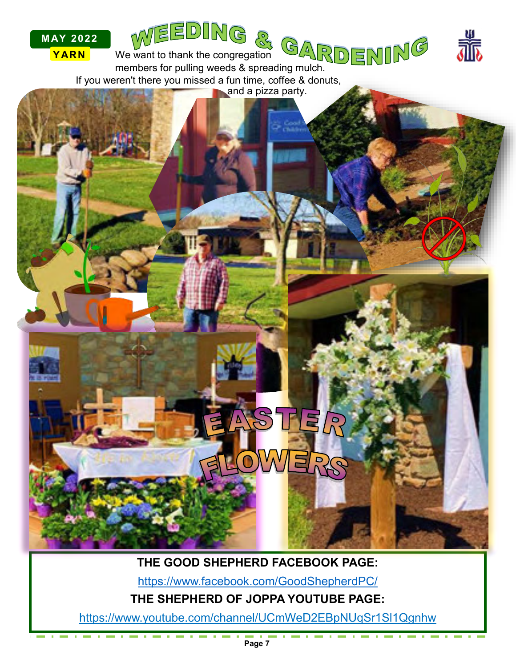

## **THE GOOD SHEPHERD FACEBOOK PAGE:**

https://www.facebook.com/GoodShepherdPC/

**THE SHEPHERD OF JOPPA YOUTUBE PAGE:**

https://www.youtube.com/channel/UCmWeD2EBpNUqSr1Sl1Qgnhw